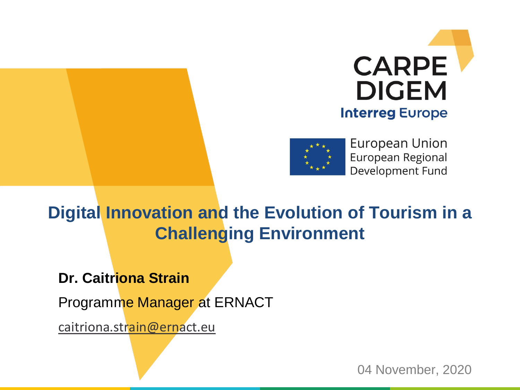



European Union European Regional Development Fund

### **Digital Innovation and the Evolution of Tourism in a Challenging Environment**

**Dr. Caitriona Strain**

Programme Manager at ERNACT

[caitriona.strain@ernact.eu](mailto:Caitriona.strain@ernact.eu)

04 November, 2020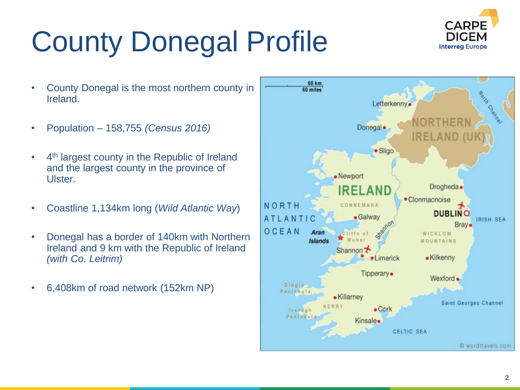# County Donegal Profile



- County Donegal is the most northern county in Ireland.
- Population 158,755 *(Census 2016)*
- 4<sup>th</sup> largest county in the Republic of Ireland and the largest county in the province of Ulster.
- Coastline 1,134km long (*Wild Atlantic Way*)
- Donegal has a border of 140km with Northern Ireland and 9 km with the Republic of Ireland *(with Co. Leitrim)*
- 6,408km of road network (152km NP)

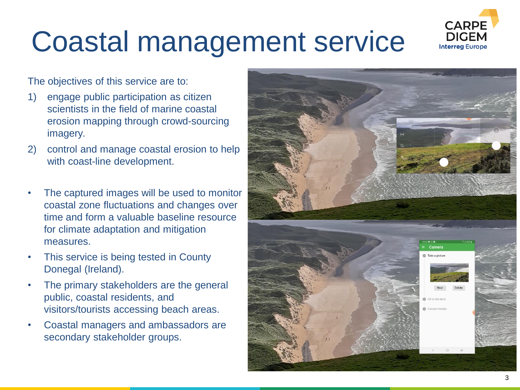

## Coastal management service

The objectives of this service are to:

- 1) engage public participation as citizen scientists in the field of marine coastal erosion mapping through crowd-sourcing imagery.
- 2) control and manage coastal erosion to help with coast-line development.
- The captured images will be used to monitor coastal zone fluctuations and changes over time and form a valuable baseline resource for climate adaptation and mitigation measures.
- This service is being tested in County Donegal (Ireland).
- The primary stakeholders are the general public, coastal residents, and visitors/tourists accessing beach areas.
- Coastal managers and ambassadors are secondary stakeholder groups.

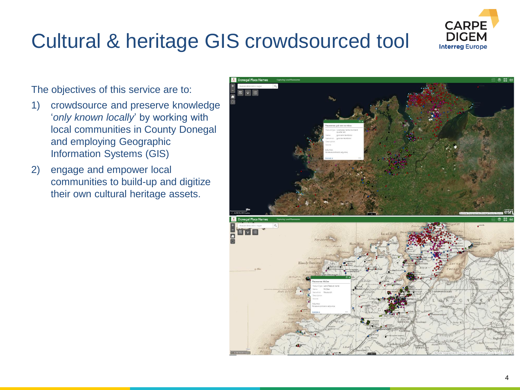#### 4

### Cultural & heritage GIS crowdsourced tool

#### The objectives of this service are to:

- 1) crowdsource and preserve knowledge '*only known locally*' by working with local communities in County Donegal and employing Geographic Information Systems (GIS)
- 2) engage and empower local communities to build-up and digitize their own cultural heritage assets.